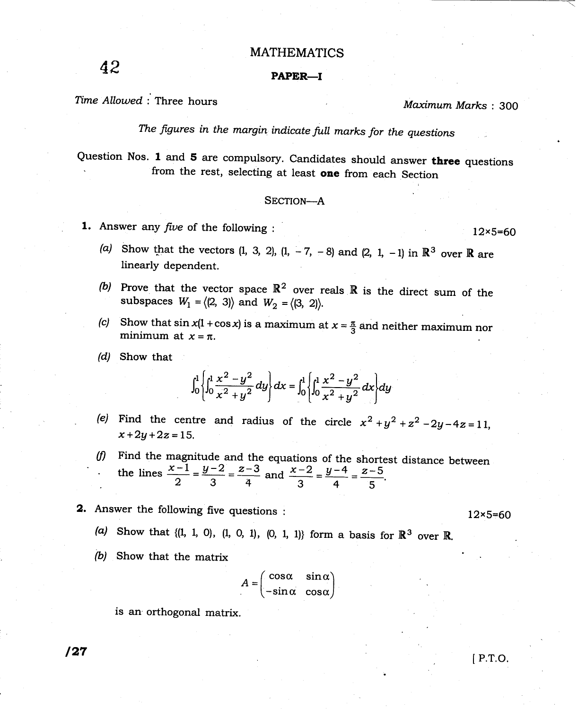### MATHEMATICS

# $42$  paper-

## Time Allowed : Three hours and the material of the Maximum Marks : 300

The figures in the margin indicate full marks for the questions

Question Nos. 1 and 5 are compulsory. Candidates should answer three questions from the rest, selecting at least one from each Section

#### SECTION-A

**1.** Answer any *five* of the following : l2 $\times$ 5=60

- (a) Show that the vectors (1, 3, 2), (1,  $-7$ ,  $-8$ ) and (2, 1,  $-1$ ) in  $\mathbb{R}^3$  over  $\mathbb R$  are linearly dependent
- (b) Prove that the vector space  $\mathbb{R}^2$  over reals  $\mathbb R$  is the direct sum of the subspaces  $W_1 = \langle (2, 3) \rangle$  and  $W_2 = \langle (3, 2) \rangle$ .
- (c) Show that  $\sin x(1 + \cos x)$  is a maximum at  $x = \frac{\pi}{3}$  and neither maximum nor minimum at  $x = \pi$ .
- (d) Show that

$$
\int_0^1 \left\{ \int_0^1 \frac{x^2 - y^2}{x^2 + y^2} dy \right\} dx = \int_0^1 \left\{ \int_0^1 \frac{x^2 - y^2}{x^2 + y^2} dx \right\} dy
$$

- (e) Find the centre and radius of the circle  $x^2 + y^2 + z^2 2y 4z = 11$ ,  $x + 2y + 2z = 15$ .
- $(f)$  Find the magnitude and the equations of the shortest distance between the lines  $\frac{x-1}{2} = \frac{y-2}{3} = \frac{z-3}{4}$  and  $\frac{x-2}{3} = \frac{y-4}{4} = \frac{z-5}{5}$
- **2.** Answer the following five questions :  $12 \times 5=60$

(a) Show that 
$$
\{(1, 1, 0), (1, 0, 1), (0, 1, 1)\}
$$
 form a basis for  $\mathbb{R}^3$  over  $\mathbb{R}$ .

(b) Show that the matrix

$$
A = \begin{pmatrix} \cos \alpha & \sin \alpha \\ -\sin \alpha & \cos \alpha \end{pmatrix}
$$

is an orthogonal matrix.

I P.T.O.

127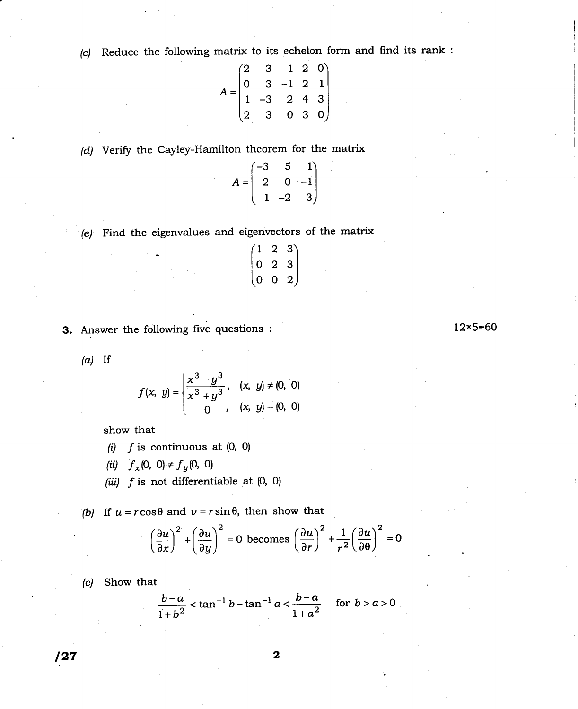(c) Reduce the following matrix to its echelon form and find its rank :

$$
A = \begin{pmatrix} 2 & 3 & 1 & 2 & 0 \\ 0 & 3 & -1 & 2 & 1 \\ 1 & -3 & 2 & 4 & 3 \\ 2 & 3 & 0 & 3 & 0 \end{pmatrix}
$$

(d) Verify the Cayley-Hamilton theorem for the matrix

| $-3$    | 5              |                          |
|---------|----------------|--------------------------|
| $=$   2 | $\overline{0}$ | $\left  -1 \right $      |
|         | $-2$           | $\left  \cdot \right $ 3 |

(e) Find the eigenvalues and eigenvectors of the matrix

| $\left(1\right)$ | 2              | 3)             |
|------------------|----------------|----------------|
| $\vert 0$        | $\overline{2}$ | $\overline{3}$ |
| 0                | 0              | 2)             |

3. Answer the following five questions : 12x5=60

 $(a)$  If

$$
f(x, y) = \begin{cases} \frac{x^3 - y^3}{x^3 + y^3}, & (x, y) \neq (0, 0) \\ 0, & (x, y) = (0, 0) \end{cases}
$$

show that

- (i)  $f$  is continuous at  $(0, 0)$
- (ii)  $f_x(0, 0) \neq f_y(0, 0)$
- (iii)  $f$  is not differentiable at  $(0, 0)$

(b) If  $u = r \cos \theta$  and  $v = r \sin \theta$ , then show that

$$
\left(\frac{\partial u}{\partial x}\right)^2 + \left(\frac{\partial u}{\partial y}\right)^2 = 0 \text{ becomes } \left(\frac{\partial u}{\partial r}\right)^2 + \frac{1}{r^2} \left(\frac{\partial u}{\partial \theta}\right)^2 = 0
$$

(c) Show that

$$
\frac{b-a}{1+b^2} < \tan^{-1} b - \tan^{-1} a < \frac{b-a}{1+a^2} \quad \text{for } b > a > 0
$$

 $127$  2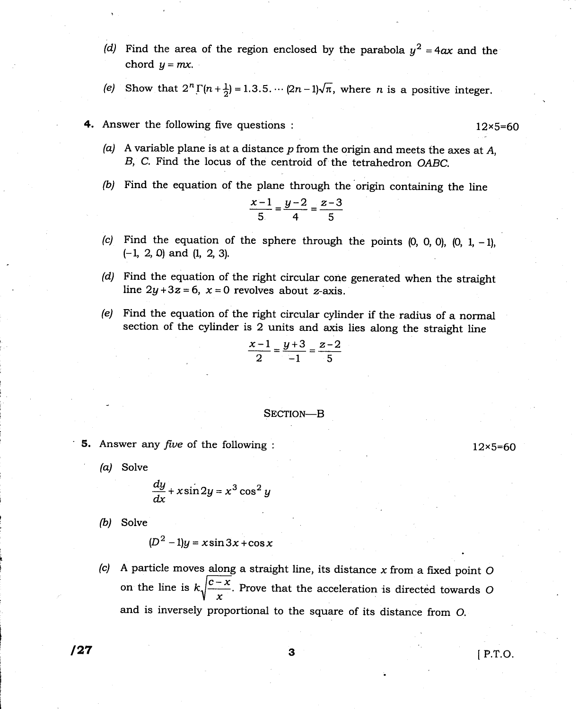- (d) Find the area of the region enclosed by the parabola  $y^2 = 4ax$  and the chord  $u = mx$ ,
- (e) Show that  $2^n \Gamma(n+\frac{1}{2})=1.3.5.\dotsm (2n-1)\sqrt{\pi}$ , where *n* is a positive integer.
- 4. Answer the following five questions : l2x5=60
	- (a) A variable plane is at a distance  $p$  from the origin and meets the axes at  $A$ , B, C. Find the locus of the centroid of the tetrahedron OABC.
	- (b) Find the equation of the plane through the'origin containing the line

$$
\frac{x-1}{5} = \frac{y-2}{4} = \frac{z-3}{5}
$$

- (c) Find the equation of the sphere through the points  $(0, 0, 0)$ ,  $(0, 1, -1)$ ,  $(-1, 2, 0)$  and  $(1, 2, 3)$ .
- (d) Find the equation of the right circular cone generated when the straight line  $2y+3z=6$ ,  $x=0$  revolves about z-axis.
- (e) Find the equation of the right circular cylinder if the radius of a normal section of the cylinder is 2 units and axis lies along the straight line

$$
\frac{x-1}{2} = \frac{y+3}{-1} = \frac{z-2}{5}
$$

#### SECTION-B

- **5.** Answer any *five* of the following :  $12 \times 5=60$ 
	-

$$
\frac{dy}{dx} + x\sin 2y = x^3\cos^2 y
$$

(b) Solve

(a) Solve

$$
(D2 - 1)y = x \sin 3x + \cos x
$$

(c) A particle moves along a straight line, its distance  $x$  from a fixed point O on the line is  $k\sqrt{\frac{c-x}{x}}$ . Prove that the acceleration is directed towards O and is inversely proportional to the square of its distance from O.

## $127$  3 IP.T.O.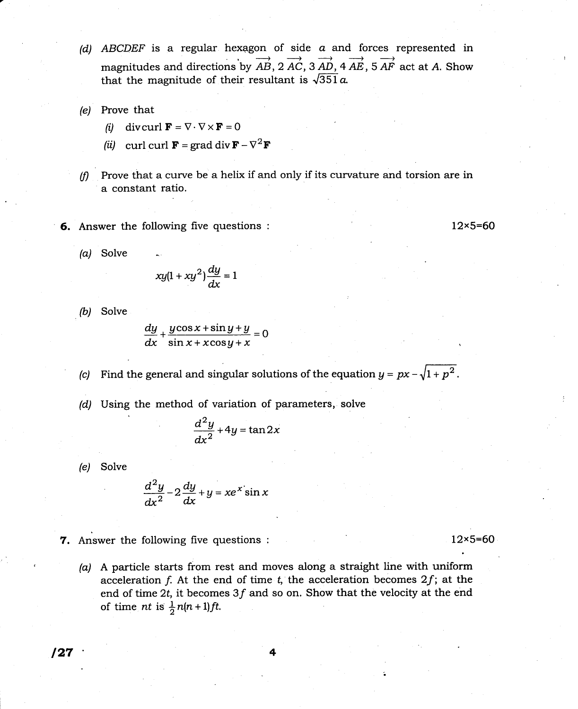- (d) ABCDEF is a regular hexagon of side  $a$  and forces represented in magnitudes and directions by  $\overrightarrow{AB}$ ,  $2 \overrightarrow{AC}$ ,  $3 \overrightarrow{AD}$ ,  $4 \overrightarrow{AE}$ ,  $5 \overrightarrow{AF}$  act at A. Show that the magnitude of their resultant is  $\sqrt{351}a$ .
- (e) Prove that
	- (i) divcurl  $\mathbf{F} = \nabla \cdot \nabla \times \mathbf{F} = 0$
	- (*ii*) curl curl **F** = grad div **F**  $\nabla^2$ **F**
- $(f)$  Prove that a curve be a helix if and only if its curvature and torsion are in a constant ratio.
- 6. Answer the following five questions :

12x5=60

(a) Solve

$$
xy(1+xy^2)\frac{dy}{dx}=1
$$

*(b)* Solve

$$
\frac{dy}{dx} + \frac{y\cos x + \sin y + y}{\sin x + x\cos y + x} = 0
$$

- Find the general and singular solutions of the equation  $y = px \sqrt{1 + p^2}$  $(c)$
- (d) Using the method of variation of parameters, solve

$$
\frac{d^2y}{dx^2} + 4y = \tan 2x
$$

(e) Solve

$$
\frac{d^2y}{dx^2} - 2\frac{dy}{dx} + y = xe^x \sin x
$$

7. Answer the following five questions :

12x5=60

(a) A particle starts from rest and moves along a straight line with uniform acceleration f. At the end of time t, the acceleration becomes  $2f$ ; at the end of time 2t, it becomes  $3f$  and so on. Show that the velocity at the end of time nt is  $\frac{1}{2}n(n+1)$ ft.

 $\sqrt{27}$  4